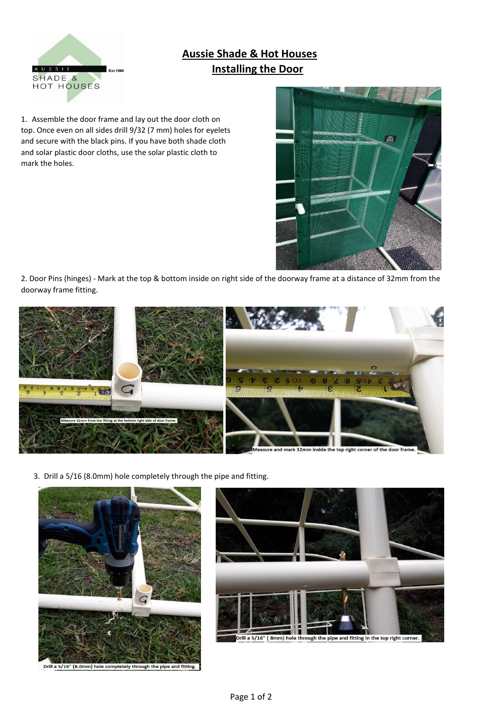

## **Aussie Shade & Hot Houses Installing the Door**

1. Assemble the door frame and lay out the door cloth on top. Once even on all sides drill 9/32 (7 mm) holes for eyelets and secure with the black pins. If you have both shade cloth and solar plastic door cloths, use the solar plastic cloth to mark the holes.



2. Door Pins (hinges) - Mark at the top & bottom inside on right side of the doorway frame at a distance of 32mm from the doorway frame fitting.



3. Drill a 5/16 (8.0mm) hole completely through the pipe and fitting.